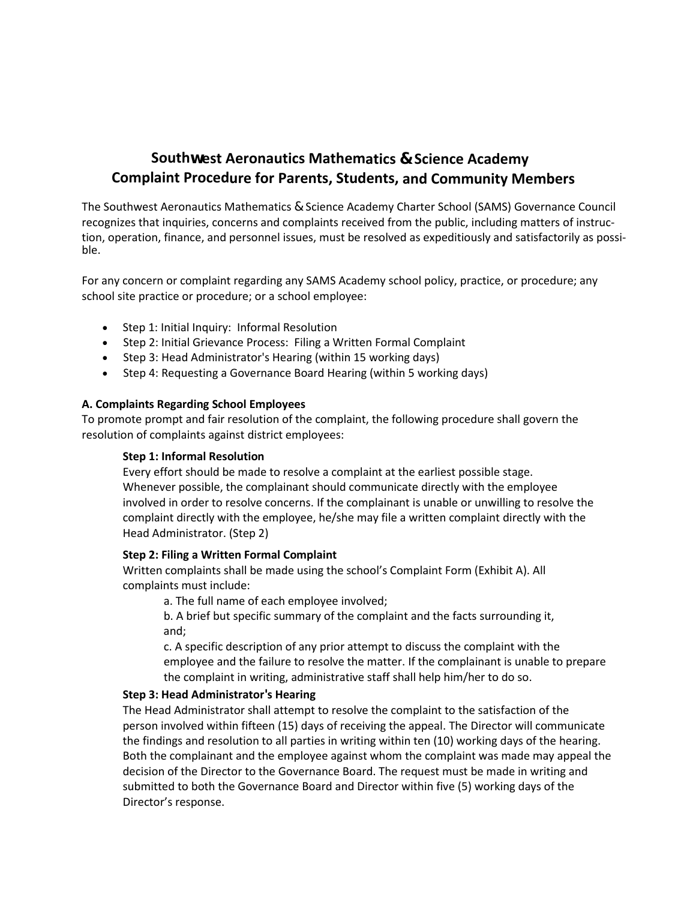# **Southwest Aeronautics Mathematics & Science Academy Complaint Procedure for Parents, Students, and Community Members**

The Southwest Aeronautics Mathematics & Science Academy Charter School (SAMS) Governance Council recognizes that inquiries, concerns and complaints received from the public, including matters of instruction, operation, finance, and personnel issues, must be resolved as expeditiously and satisfactorily as possible.

For any concern or complaint regarding any SAMS Academy school policy, practice, or procedure; any school site practice or procedure; or a school employee:

- Step 1: Initial Inquiry: Informal Resolution
- Step 2: Initial Grievance Process: Filing a Written Formal Complaint
- Step 3: Head Administrator's Hearing (within 15 working days)
- Step 4: Requesting a Governance Board Hearing (within 5 working days)

### **A. Complaints Regarding School Employees**

To promote prompt and fair resolution of the complaint, the following procedure shall govern the resolution of complaints against district employees:

## **Step 1: Informal Resolution**

 Every effort should be made to resolve a complaint at the earliest possible stage. Whenever possible, the complainant should communicate directly with the employee involved in order to resolve concerns. If the complainant is unable or unwilling to resolve the complaint directly with the employee, he/she may file a written complaint directly with the Head Administrator. (Step 2)

#### **Step 2: Filing a Written Formal Complaint**

 Written complaints shall be made using the school's Complaint Form (Exhibit A). All complaints must include:

a. The full name of each employee involved;

 b. A brief but specific summary of the complaint and the facts surrounding it, and;

 c. A specific description of any prior attempt to discuss the complaint with the employee and the failure to resolve the matter. If the complainant is unable to prepare the complaint in writing, administrative staff shall help him/her to do so.

## **Step 3: Head Administrator's Hearing**

 The Head Administrator shall attempt to resolve the complaint to the satisfaction of the person involved within fifteen (15) days of receiving the appeal. The Director will communicate the findings and resolution to all parties in writing within ten (10) working days of the hearing. Both the complainant and the employee against whom the complaint was made may appeal the decision of the Director to the Governance Board. The request must be made in writing and submitted to both the Governance Board and Director within five (5) working days of the Director's response.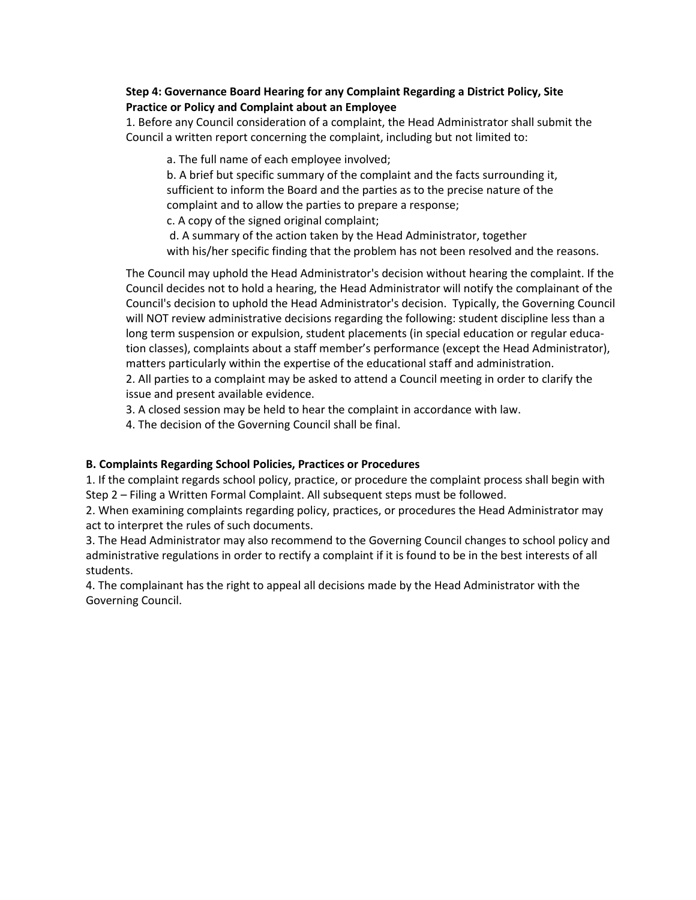## **Step 4: Governance Board Hearing for any Complaint Regarding a District Policy, Site Practice or Policy and Complaint about an Employee**

 1. Before any Council consideration of a complaint, the Head Administrator shall submit the Council a written report concerning the complaint, including but not limited to:

a. The full name of each employee involved;

 b. A brief but specific summary of the complaint and the facts surrounding it, sufficient to inform the Board and the parties as to the precise nature of the complaint and to allow the parties to prepare a response;

c. A copy of the signed original complaint;

 d. A summary of the action taken by the Head Administrator, together with his/her specific finding that the problem has not been resolved and the reasons.

The Council may uphold the Head Administrator's decision without hearing the complaint. If the Council decides not to hold a hearing, the Head Administrator will notify the complainant of the Council's decision to uphold the Head Administrator's decision. Typically, the Governing Council will NOT review administrative decisions regarding the following: student discipline less than a long term suspension or expulsion, student placements (in special education or regular education classes), complaints about a staff member's performance (except the Head Administrator), matters particularly within the expertise of the educational staff and administration. 2. All parties to a complaint may be asked to attend a Council meeting in order to clarify the issue and present available evidence.

3. A closed session may be held to hear the complaint in accordance with law.

4. The decision of the Governing Council shall be final.

## **B. Complaints Regarding School Policies, Practices or Procedures**

1. If the complaint regards school policy, practice, or procedure the complaint process shall begin with Step 2 – Filing a Written Formal Complaint. All subsequent steps must be followed.

2. When examining complaints regarding policy, practices, or procedures the Head Administrator may act to interpret the rules of such documents.

3. The Head Administrator may also recommend to the Governing Council changes to school policy and administrative regulations in order to rectify a complaint if it is found to be in the best interests of all students.

4. The complainant has the right to appeal all decisions made by the Head Administrator with the Governing Council.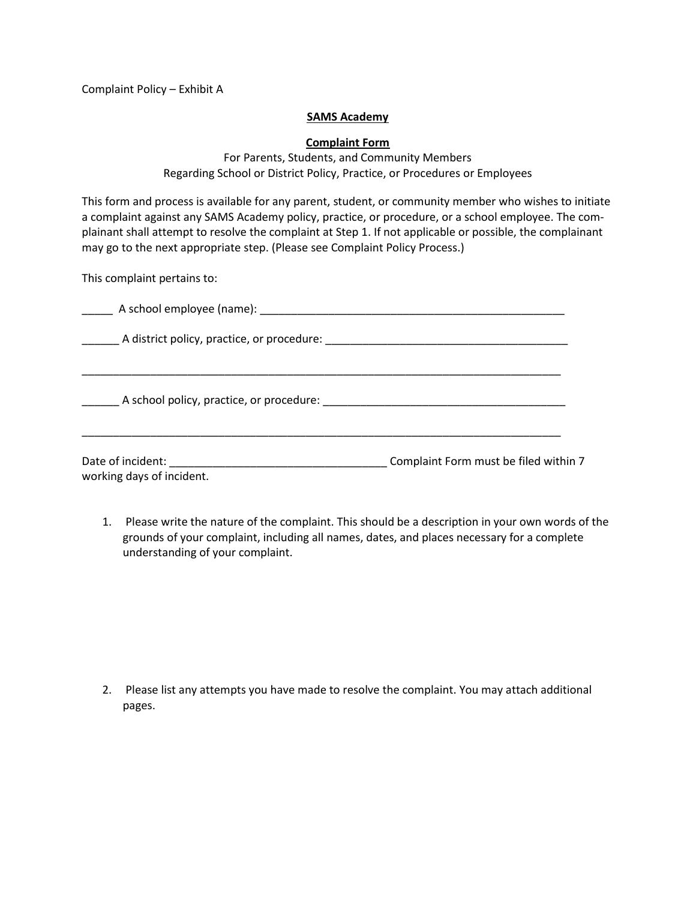Complaint Policy – Exhibit A

#### **SAMS Academy**

### **Complaint Form**

For Parents, Students, and Community Members Regarding School or District Policy, Practice, or Procedures or Employees

This form and process is available for any parent, student, or community member who wishes to initiate a complaint against any SAMS Academy policy, practice, or procedure, or a school employee. The complainant shall attempt to resolve the complaint at Step 1. If not applicable or possible, the complainant may go to the next appropriate step. (Please see Complaint Policy Process.)

This complaint pertains to:

| A school employee (name): |  |
|---------------------------|--|
|---------------------------|--|

\_\_\_\_\_\_ A district policy, practice, or procedure: \_\_\_\_\_\_\_\_\_\_\_\_\_\_\_\_\_\_\_\_\_\_\_\_\_\_\_\_\_\_\_\_\_\_\_\_\_\_\_

\_\_\_\_\_\_\_\_\_\_\_\_\_\_\_\_\_\_\_\_\_\_\_\_\_\_\_\_\_\_\_\_\_\_\_\_\_\_\_\_\_\_\_\_\_\_\_\_\_\_\_\_\_\_\_\_\_\_\_\_\_\_\_\_\_\_\_\_\_\_\_\_\_\_\_\_\_

\_\_\_\_\_\_\_\_\_\_\_\_\_\_\_\_\_\_\_\_\_\_\_\_\_\_\_\_\_\_\_\_\_\_\_\_\_\_\_\_\_\_\_\_\_\_\_\_\_\_\_\_\_\_\_\_\_\_\_\_\_\_\_\_\_\_\_\_\_\_\_\_\_\_\_\_\_

\_\_\_\_\_\_ A school policy, practice, or procedure: \_\_\_\_\_\_\_\_\_\_\_\_\_\_\_\_\_\_\_\_\_\_\_\_\_\_\_\_\_\_\_\_\_\_\_\_\_\_\_

| Date of incident:         | Complaint Form must be filed within 7 |
|---------------------------|---------------------------------------|
| working days of incident. |                                       |

1. Please write the nature of the complaint. This should be a description in your own words of the grounds of your complaint, including all names, dates, and places necessary for a complete understanding of your complaint.

2. Please list any attempts you have made to resolve the complaint. You may attach additional pages.